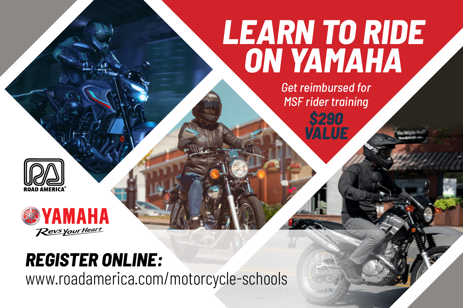## *LEARN TO RIDE ON YAMAHA*

*Get reimbursed for MSF rider training \$290*

*VALUE*





## *REGISTER ONLINE:*

www.roadamerica.com/motorcycle-schools